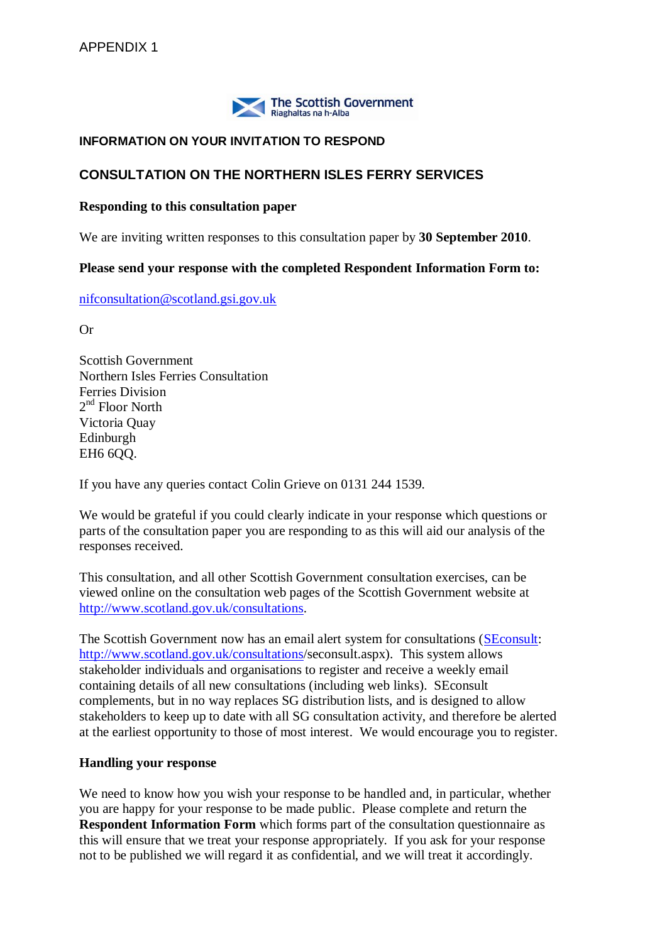

## **INFORMATION ON YOUR INVITATION TO RESPOND**

## **CONSULTATION ON THE NORTHERN ISLES FERRY SERVICES**

#### **Responding to this consultation paper**

We are inviting written responses to this consultation paper by **30 September 2010**.

#### **Please send your response with the completed Respondent Information Form to:**

[nifconsultation@scotland.gsi.gov.uk](mailto:nifconsultation@scotland.gsi.gov.uk)

Or

Scottish Government Northern Isles Ferries Consultation Ferries Division 2<sup>nd</sup> Floor North Victoria Quay Edinburgh EH6 6QQ.

If you have any queries contact Colin Grieve on 0131 244 1539.

We would be grateful if you could clearly indicate in your response which questions or parts of the consultation paper you are responding to as this will aid our analysis of the responses received.

This consultation, and all other Scottish Government consultation exercises, can be viewed online on the consultation web pages of the Scottish Government website at [http://www.scotland.gov.uk/consultations.](http://www.scotland.gov.uk/consultations)

The Scottish Government now has an email alert system for consultations [\(SEconsult:](http://www.scotland.gov.uk/consultations/seconsult.aspx) [http://www.scotland.gov.uk/consultations/](http://www.scotland.gov.uk/consultations)seconsult.aspx). This system allows stakeholder individuals and organisations to register and receive a weekly email containing details of all new consultations (including web links). SEconsult complements, but in no way replaces SG distribution lists, and is designed to allow stakeholders to keep up to date with all SG consultation activity, and therefore be alerted at the earliest opportunity to those of most interest. We would encourage you to register.

#### **Handling your response**

We need to know how you wish your response to be handled and, in particular, whether you are happy for your response to be made public. Please complete and return the **Respondent Information Form** which forms part of the consultation questionnaire as this will ensure that we treat your response appropriately. If you ask for your response not to be published we will regard it as confidential, and we will treat it accordingly.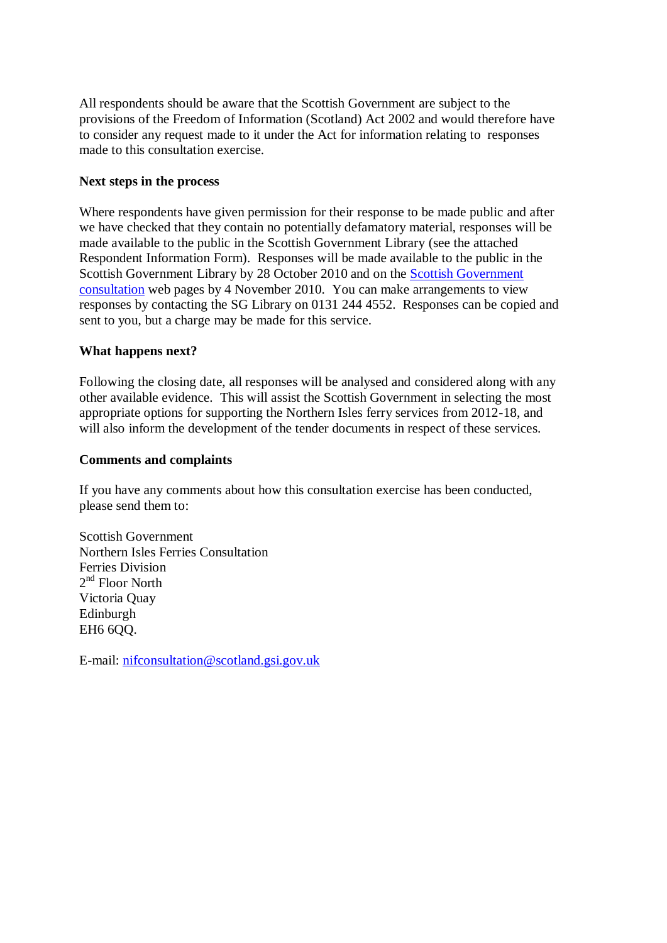All respondents should be aware that the Scottish Government are subject to the provisions of the Freedom of Information (Scotland) Act 2002 and would therefore have to consider any request made to it under the Act for information relating to responses made to this consultation exercise.

## **Next steps in the process**

Where respondents have given permission for their response to be made public and after we have checked that they contain no potentially defamatory material, responses will be made available to the public in the Scottish Government Library (see the attached Respondent Information Form). Responses will be made available to the public in the Scottish Government Library by 28 October 2010 and on the [Scottish Government](http://www.scotland.gov.uk/consultations)  [consultation](http://www.scotland.gov.uk/consultations) web pages by 4 November 2010. You can make arrangements to view responses by contacting the SG Library on 0131 244 4552. Responses can be copied and sent to you, but a charge may be made for this service.

### **What happens next?**

Following the closing date, all responses will be analysed and considered along with any other available evidence. This will assist the Scottish Government in selecting the most appropriate options for supporting the Northern Isles ferry services from 2012-18, and will also inform the development of the tender documents in respect of these services.

### **Comments and complaints**

If you have any comments about how this consultation exercise has been conducted, please send them to:

Scottish Government Northern Isles Ferries Consultation Ferries Division 2<sup>nd</sup> Floor North Victoria Quay Edinburgh EH6 6QQ.

E-mail: [nifconsultation@scotland.gsi.gov.uk](mailto:nifconsultation@scotland.gsi.gov.uk)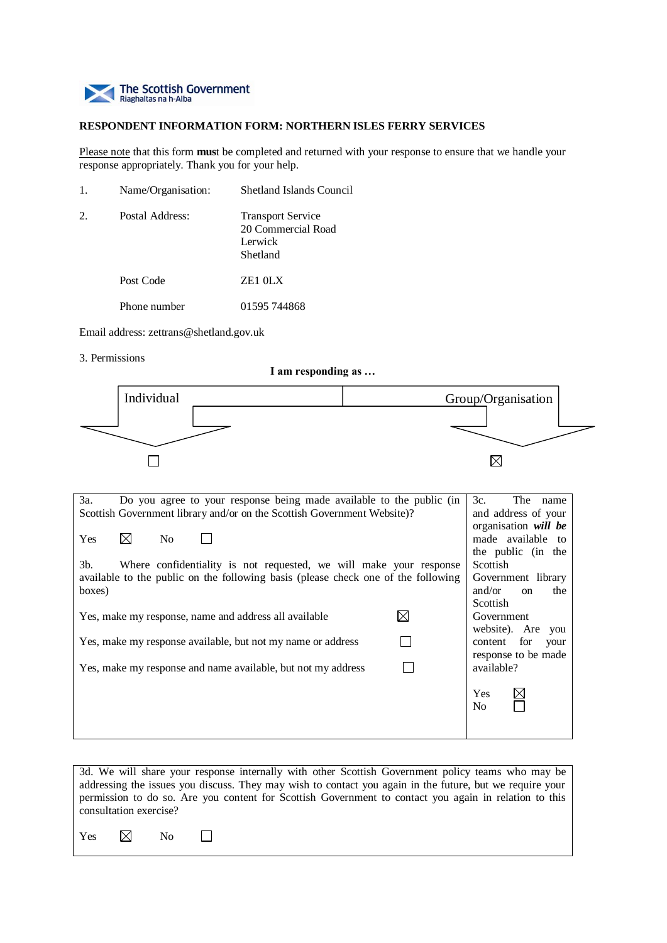

#### **RESPONDENT INFORMATION FORM: NORTHERN ISLES FERRY SERVICES**

Please note that this form **mus**t be completed and returned with your response to ensure that we handle your response appropriately. Thank you for your help.

| 1. | Name/Organisation: | <b>Shetland Islands Council</b>                                       |
|----|--------------------|-----------------------------------------------------------------------|
| 2. | Postal Address:    | <b>Transport Service</b><br>20 Commercial Road<br>Lerwick<br>Shetland |
|    | Post Code          | ZE1 OLX                                                               |
|    | Phone number       | 01595 744868                                                          |

Email address: zettrans@shetland.gov.uk

3. Permissions

**I am responding as …**



| Do you agree to your response being made available to the public (in<br>3a.       | 3c.<br>The name                |  |  |
|-----------------------------------------------------------------------------------|--------------------------------|--|--|
| Scottish Government library and/or on the Scottish Government Website)?           | and address of your            |  |  |
|                                                                                   | organisation will be           |  |  |
| $\boxtimes$<br><b>Yes</b><br>N <sub>0</sub>                                       | made available to              |  |  |
|                                                                                   | the public (in the             |  |  |
| 3b.<br>Where confidentiality is not requested, we will make your response         | <b>Scottish</b>                |  |  |
| available to the public on the following basis (please check one of the following | Government library             |  |  |
| boxes)                                                                            | and/or<br>the<br><sub>on</sub> |  |  |
|                                                                                   | Scottish                       |  |  |
| Yes, make my response, name and address all available                             | Government                     |  |  |
|                                                                                   | website). Are you              |  |  |
| Yes, make my response available, but not my name or address                       | content for<br>your            |  |  |
|                                                                                   | response to be made            |  |  |
| Yes, make my response and name available, but not my address                      | available?                     |  |  |
|                                                                                   |                                |  |  |
|                                                                                   | Yes                            |  |  |
|                                                                                   | N <sub>0</sub>                 |  |  |
|                                                                                   |                                |  |  |
|                                                                                   |                                |  |  |

3d. We will share your response internally with other Scottish Government policy teams who may be addressing the issues you discuss. They may wish to contact you again in the future, but we require your permission to do so. Are you content for Scottish Government to contact you again in relation to this consultation exercise?

Yes  $\boxtimes$  No  $\Box$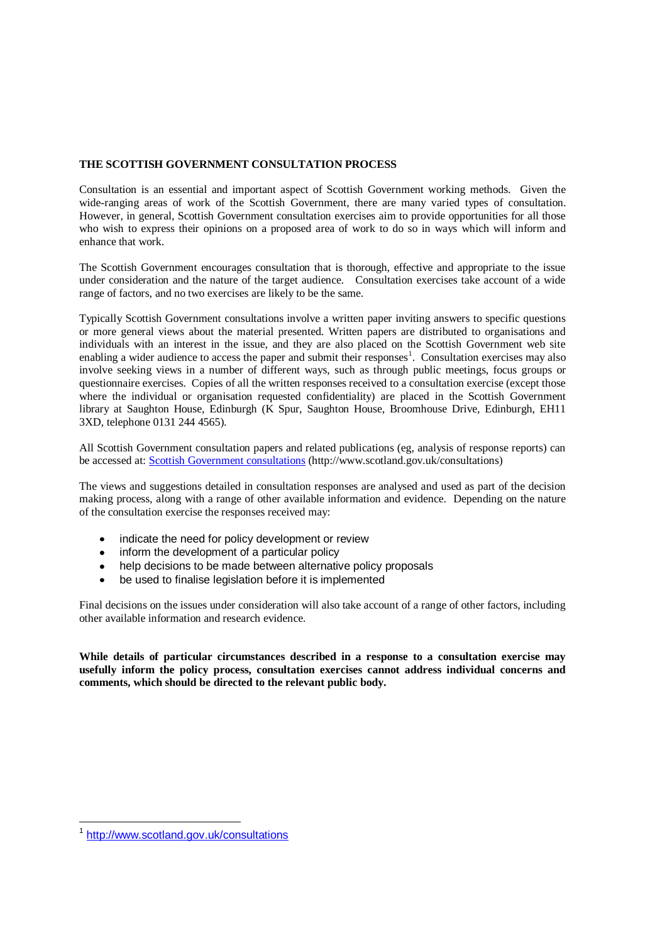#### **THE SCOTTISH GOVERNMENT CONSULTATION PROCESS**

Consultation is an essential and important aspect of Scottish Government working methods. Given the wide-ranging areas of work of the Scottish Government, there are many varied types of consultation. However, in general, Scottish Government consultation exercises aim to provide opportunities for all those who wish to express their opinions on a proposed area of work to do so in ways which will inform and enhance that work.

The Scottish Government encourages consultation that is thorough, effective and appropriate to the issue under consideration and the nature of the target audience. Consultation exercises take account of a wide range of factors, and no two exercises are likely to be the same.

Typically Scottish Government consultations involve a written paper inviting answers to specific questions or more general views about the material presented. Written papers are distributed to organisations and individuals with an interest in the issue, and they are also placed on the Scottish Government web site enabling a wider audience to access the paper and submit their responses<sup>1</sup>. Consultation exercises may also involve seeking views in a number of different ways, such as through public meetings, focus groups or questionnaire exercises. Copies of all the written responses received to a consultation exercise (except those where the individual or organisation requested confidentiality) are placed in the Scottish Government library at Saughton House, Edinburgh (K Spur, Saughton House, Broomhouse Drive, Edinburgh, EH11 3XD, telephone 0131 244 4565).

All Scottish Government consultation papers and related publications (eg, analysis of response reports) can be accessed at: [Scottish Government consultations](http://www.scotland.gov.uk/consultations) (http://www.scotland.gov.uk/consultations)

The views and suggestions detailed in consultation responses are analysed and used as part of the decision making process, along with a range of other available information and evidence. Depending on the nature of the consultation exercise the responses received may:

- indicate the need for policy development or review  $\bullet$
- inform the development of a particular policy
- help decisions to be made between alternative policy proposals
- $\bullet$ be used to finalise legislation before it is implemented

Final decisions on the issues under consideration will also take account of a range of other factors, including other available information and research evidence.

**While details of particular circumstances described in a response to a consultation exercise may usefully inform the policy process, consultation exercises cannot address individual concerns and comments, which should be directed to the relevant public body.** 

 1 <http://www.scotland.gov.uk/consultations>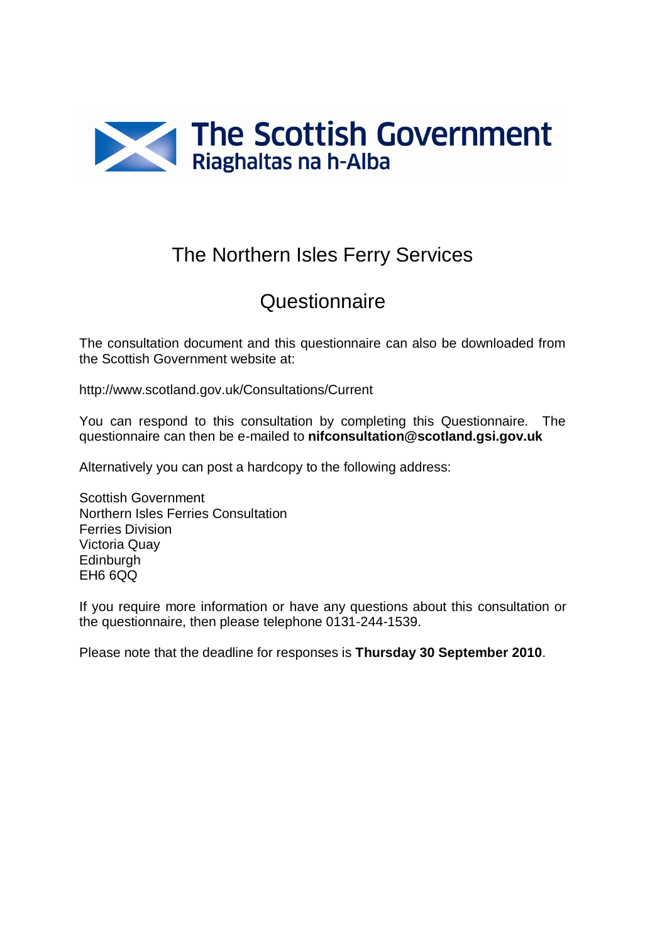

# The Northern Isles Ferry Services

# Questionnaire

The consultation document and this questionnaire can also be downloaded from the Scottish Government website at:

http://www.scotland.gov.uk/Consultations/Current

You can respond to this consultation by completing this Questionnaire. The questionnaire can then be e-mailed to **nifconsultation@scotland.gsi.gov.uk**

Alternatively you can post a hardcopy to the following address:

Scottish Government Northern Isles Ferries Consultation Ferries Division Victoria Quay Edinburgh EH6 6QQ

If you require more information or have any questions about this consultation or the questionnaire, then please telephone 0131-244-1539.

Please note that the deadline for responses is **Thursday 30 September 2010**.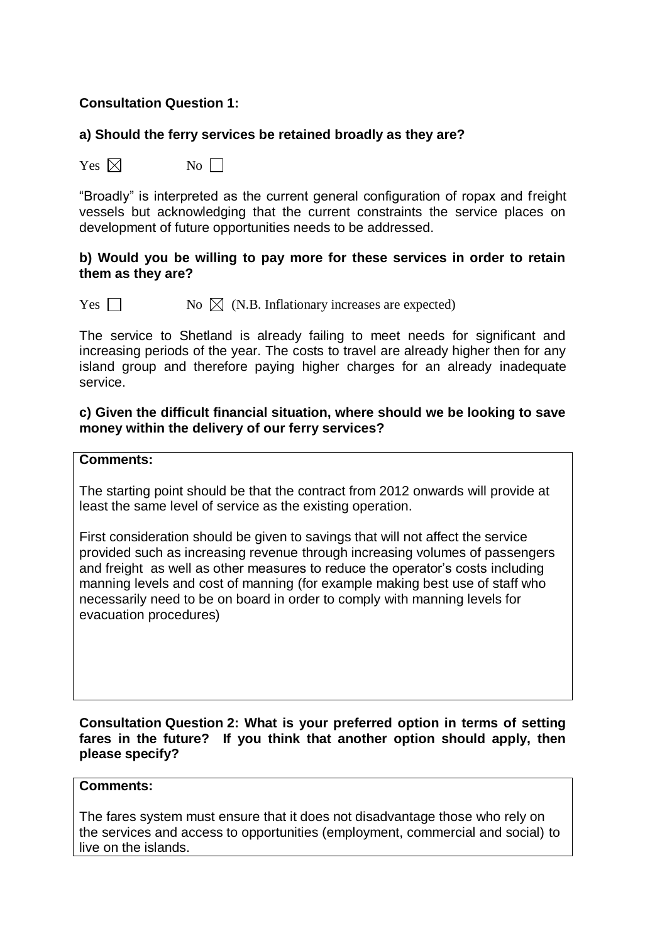## **Consultation Question 1:**

## **a) Should the ferry services be retained broadly as they are?**

 $Yes \boxtimes$  No  $\Box$ 

"Broadly" is interpreted as the current general configuration of ropax and freight vessels but acknowledging that the current constraints the service places on development of future opportunities needs to be addressed.

### **b) Would you be willing to pay more for these services in order to retain them as they are?**

Yes  $\Box$  No  $\boxtimes$  (N.B. Inflationary increases are expected)

The service to Shetland is already failing to meet needs for significant and increasing periods of the year. The costs to travel are already higher then for any island group and therefore paying higher charges for an already inadequate service.

## **c) Given the difficult financial situation, where should we be looking to save money within the delivery of our ferry services?**

#### **Comments:**

The starting point should be that the contract from 2012 onwards will provide at least the same level of service as the existing operation.

First consideration should be given to savings that will not affect the service provided such as increasing revenue through increasing volumes of passengers and freight as well as other measures to reduce the operator's costs including manning levels and cost of manning (for example making best use of staff who necessarily need to be on board in order to comply with manning levels for evacuation procedures)

**Consultation Question 2: What is your preferred option in terms of setting fares in the future? If you think that another option should apply, then please specify?**

#### **Comments:**

The fares system must ensure that it does not disadvantage those who rely on the services and access to opportunities (employment, commercial and social) to live on the islands.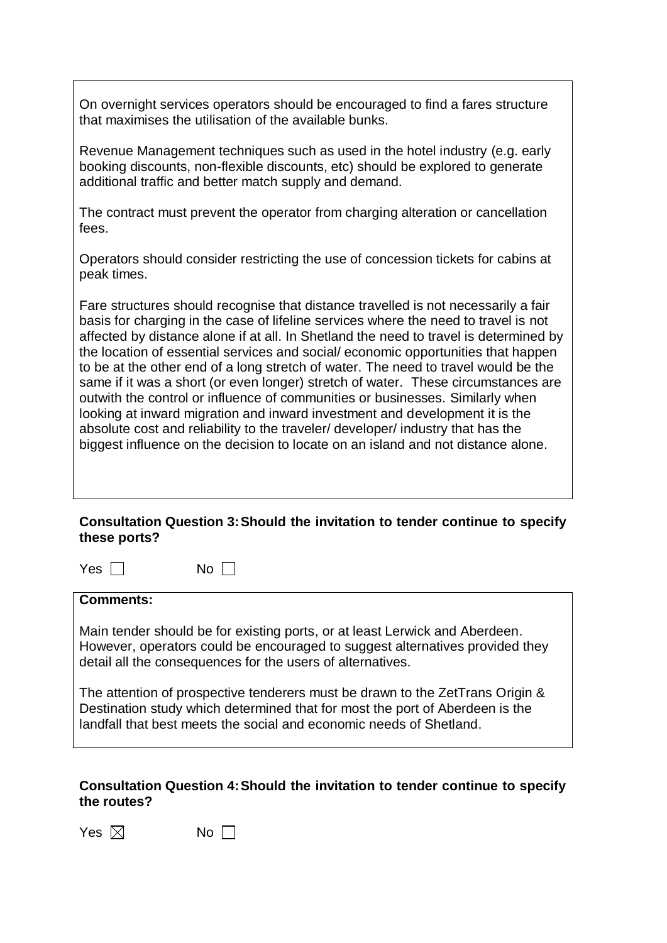On overnight services operators should be encouraged to find a fares structure that maximises the utilisation of the available bunks.

Revenue Management techniques such as used in the hotel industry (e.g. early booking discounts, non-flexible discounts, etc) should be explored to generate additional traffic and better match supply and demand.

The contract must prevent the operator from charging alteration or cancellation fees.

Operators should consider restricting the use of concession tickets for cabins at peak times.

Fare structures should recognise that distance travelled is not necessarily a fair basis for charging in the case of lifeline services where the need to travel is not affected by distance alone if at all. In Shetland the need to travel is determined by the location of essential services and social/ economic opportunities that happen to be at the other end of a long stretch of water. The need to travel would be the same if it was a short (or even longer) stretch of water. These circumstances are outwith the control or influence of communities or businesses. Similarly when looking at inward migration and inward investment and development it is the absolute cost and reliability to the traveler/ developer/ industry that has the biggest influence on the decision to locate on an island and not distance alone.

## **Consultation Question 3:Should the invitation to tender continue to specify these ports?**

| ۰,<br>۰, |
|----------|
|----------|

 $\Box$  No  $\Box$ 

#### **Comments:**

Main tender should be for existing ports, or at least Lerwick and Aberdeen. However, operators could be encouraged to suggest alternatives provided they detail all the consequences for the users of alternatives.

The attention of prospective tenderers must be drawn to the ZetTrans Origin & Destination study which determined that for most the port of Aberdeen is the landfall that best meets the social and economic needs of Shetland.

## **Consultation Question 4:Should the invitation to tender continue to specify the routes?**

| Yes $\boxtimes$ |  | No $\Box$ |  |
|-----------------|--|-----------|--|
|-----------------|--|-----------|--|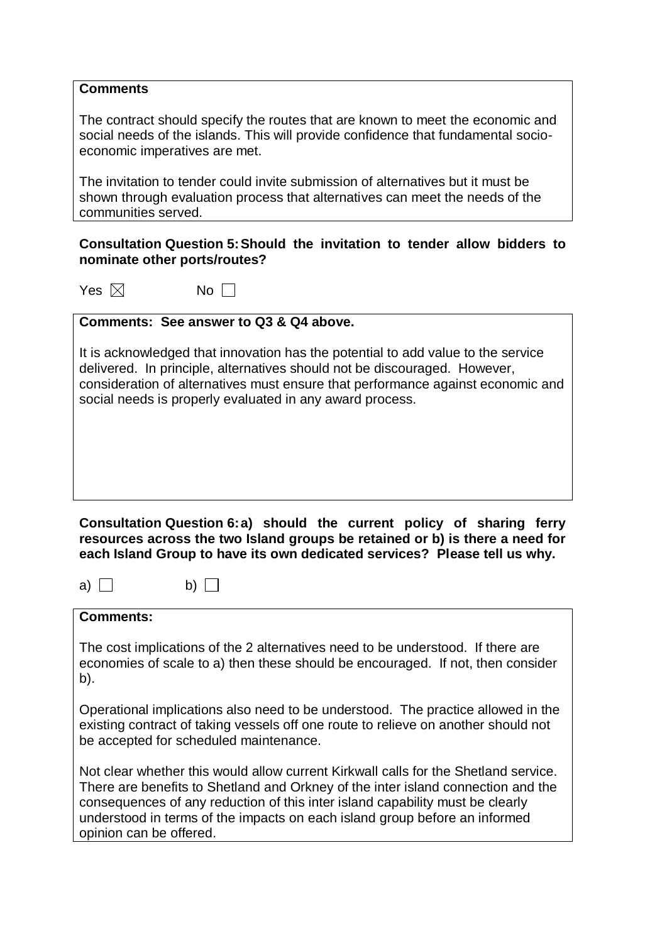### **Comments**

The contract should specify the routes that are known to meet the economic and social needs of the islands. This will provide confidence that fundamental socioeconomic imperatives are met.

The invitation to tender could invite submission of alternatives but it must be shown through evaluation process that alternatives can meet the needs of the communities served.

## **Consultation Question 5:Should the invitation to tender allow bidders to nominate other ports/routes?**

Yes  $\boxtimes$  No  $\Box$ 

## **Comments: See answer to Q3 & Q4 above.**

It is acknowledged that innovation has the potential to add value to the service delivered. In principle, alternatives should not be discouraged. However, consideration of alternatives must ensure that performance against economic and social needs is properly evaluated in any award process.

**Consultation Question 6:a) should the current policy of sharing ferry resources across the two Island groups be retained or b) is there a need for each Island Group to have its own dedicated services? Please tell us why.**

a) b)  $\Box$ 

## **Comments:**

The cost implications of the 2 alternatives need to be understood. If there are economies of scale to a) then these should be encouraged. If not, then consider b).

Operational implications also need to be understood. The practice allowed in the existing contract of taking vessels off one route to relieve on another should not be accepted for scheduled maintenance.

Not clear whether this would allow current Kirkwall calls for the Shetland service. There are benefits to Shetland and Orkney of the inter island connection and the consequences of any reduction of this inter island capability must be clearly understood in terms of the impacts on each island group before an informed opinion can be offered.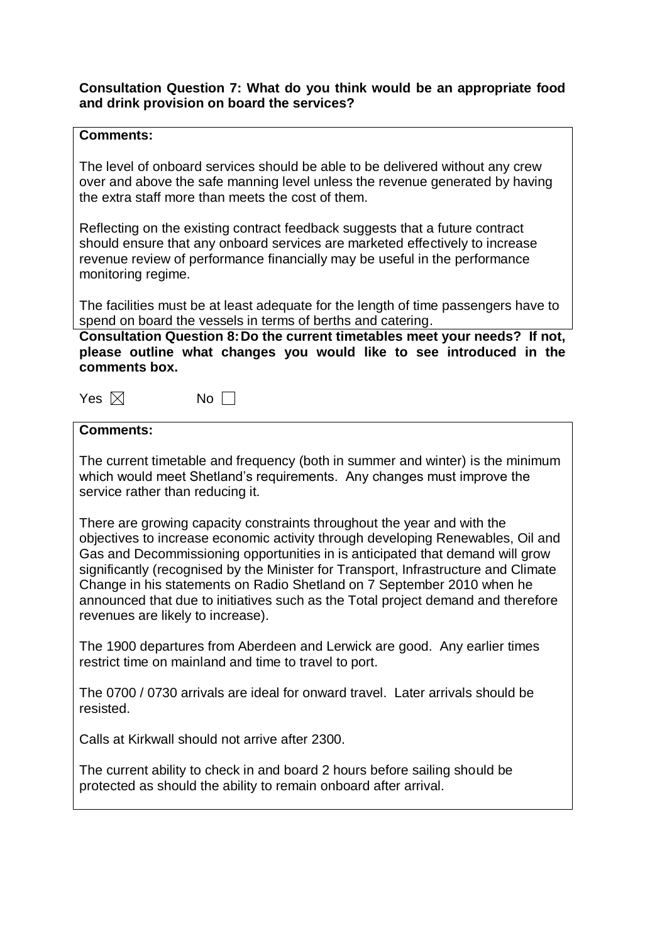## **Consultation Question 7: What do you think would be an appropriate food and drink provision on board the services?**

## **Comments:**

The level of onboard services should be able to be delivered without any crew over and above the safe manning level unless the revenue generated by having the extra staff more than meets the cost of them.

Reflecting on the existing contract feedback suggests that a future contract should ensure that any onboard services are marketed effectively to increase revenue review of performance financially may be useful in the performance monitoring regime.

The facilities must be at least adequate for the length of time passengers have to spend on board the vessels in terms of berths and catering.

**Consultation Question 8:Do the current timetables meet your needs? If not, please outline what changes you would like to see introduced in the comments box.** 

| Yes $\boxtimes$ | No |
|-----------------|----|
|-----------------|----|

**Comments:** 

The current timetable and frequency (both in summer and winter) is the minimum which would meet Shetland's requirements. Any changes must improve the service rather than reducing it.

There are growing capacity constraints throughout the year and with the objectives to increase economic activity through developing Renewables, Oil and Gas and Decommissioning opportunities in is anticipated that demand will grow significantly (recognised by the Minister for Transport, Infrastructure and Climate Change in his statements on Radio Shetland on 7 September 2010 when he announced that due to initiatives such as the Total project demand and therefore revenues are likely to increase).

The 1900 departures from Aberdeen and Lerwick are good. Any earlier times restrict time on mainland and time to travel to port.

The 0700 / 0730 arrivals are ideal for onward travel. Later arrivals should be resisted.

Calls at Kirkwall should not arrive after 2300.

The current ability to check in and board 2 hours before sailing should be protected as should the ability to remain onboard after arrival.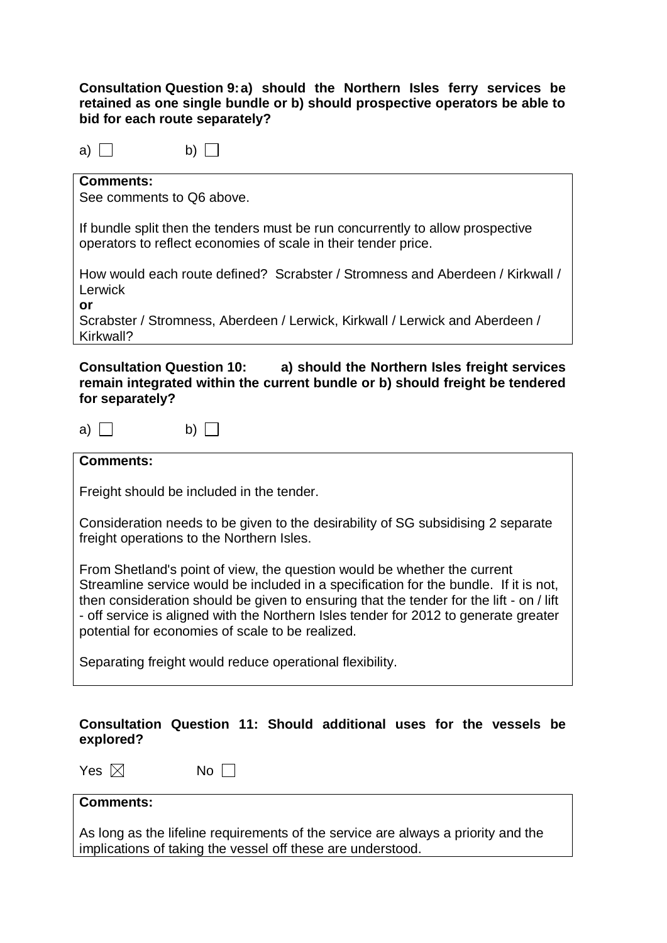## **Consultation Question 9:a) should the Northern Isles ferry services be retained as one single bundle or b) should prospective operators be able to bid for each route separately?**

| a |  |  |  |  |  |  |  |
|---|--|--|--|--|--|--|--|
|---|--|--|--|--|--|--|--|

## **Comments:**

See comments to Q6 above.

b)  $\Box$ 

If bundle split then the tenders must be run concurrently to allow prospective operators to reflect economies of scale in their tender price.

How would each route defined? Scrabster / Stromness and Aberdeen / Kirkwall / Lerwick

**or**

Scrabster / Stromness, Aberdeen / Lerwick, Kirkwall / Lerwick and Aberdeen / Kirkwall?

## **Consultation Question 10: a) should the Northern Isles freight services remain integrated within the current bundle or b) should freight be tendered for separately?**

a) b)  $\Box$ 

## **Comments:**

Freight should be included in the tender.

Consideration needs to be given to the desirability of SG subsidising 2 separate freight operations to the Northern Isles.

From Shetland's point of view, the question would be whether the current Streamline service would be included in a specification for the bundle. If it is not, then consideration should be given to ensuring that the tender for the lift - on / lift - off service is aligned with the Northern Isles tender for 2012 to generate greater potential for economies of scale to be realized.

Separating freight would reduce operational flexibility.

## **Consultation Question 11: Should additional uses for the vessels be explored?**

Yes  $\boxtimes$  No  $\Box$ 

## **Comments:**

As long as the lifeline requirements of the service are always a priority and the implications of taking the vessel off these are understood.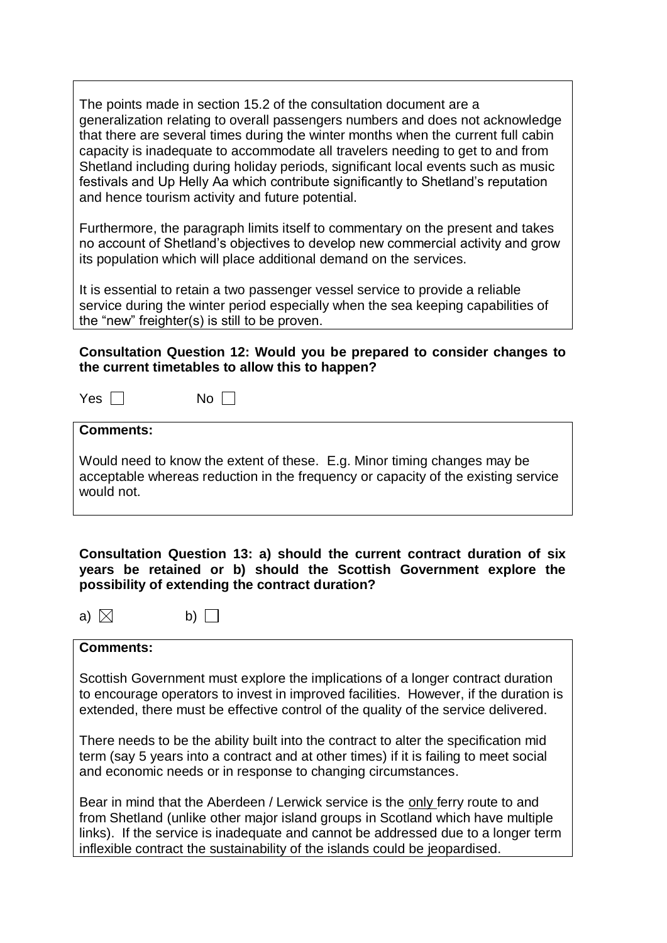The points made in section 15.2 of the consultation document are a generalization relating to overall passengers numbers and does not acknowledge that there are several times during the winter months when the current full cabin capacity is inadequate to accommodate all travelers needing to get to and from Shetland including during holiday periods, significant local events such as music festivals and Up Helly Aa which contribute significantly to Shetland's reputation and hence tourism activity and future potential.

Furthermore, the paragraph limits itself to commentary on the present and takes no account of Shetland's objectives to develop new commercial activity and grow its population which will place additional demand on the services.

It is essential to retain a two passenger vessel service to provide a reliable service during the winter period especially when the sea keeping capabilities of the "new" freighter(s) is still to be proven.

## **Consultation Question 12: Would you be prepared to consider changes to the current timetables to allow this to happen?**

 $Yes \Box$  No  $\Box$ 

**Comments:** 

Would need to know the extent of these. E.g. Minor timing changes may be acceptable whereas reduction in the frequency or capacity of the existing service would not.

**Consultation Question 13: a) should the current contract duration of six years be retained or b) should the Scottish Government explore the possibility of extending the contract duration?** 

 $\Box$  b)  $\Box$ 

#### **Comments:**

Scottish Government must explore the implications of a longer contract duration to encourage operators to invest in improved facilities. However, if the duration is extended, there must be effective control of the quality of the service delivered.

There needs to be the ability built into the contract to alter the specification mid term (say 5 years into a contract and at other times) if it is failing to meet social and economic needs or in response to changing circumstances.

Bear in mind that the Aberdeen / Lerwick service is the only ferry route to and from Shetland (unlike other major island groups in Scotland which have multiple links). If the service is inadequate and cannot be addressed due to a longer term inflexible contract the sustainability of the islands could be jeopardised.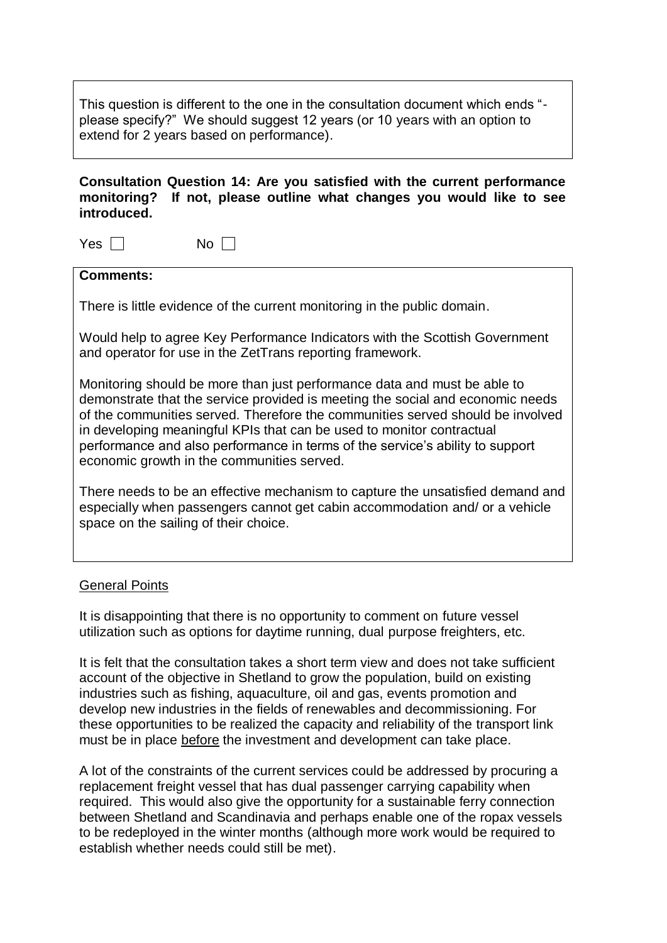This question is different to the one in the consultation document which ends " please specify?" We should suggest 12 years (or 10 years with an option to extend for 2 years based on performance).

**Consultation Question 14: Are you satisfied with the current performance monitoring? If not, please outline what changes you would like to see introduced.**

 $Yes \Box$  No  $\Box$ 

**Comments:** 

There is little evidence of the current monitoring in the public domain.

Would help to agree Key Performance Indicators with the Scottish Government and operator for use in the ZetTrans reporting framework.

Monitoring should be more than just performance data and must be able to demonstrate that the service provided is meeting the social and economic needs of the communities served. Therefore the communities served should be involved in developing meaningful KPIs that can be used to monitor contractual performance and also performance in terms of the service's ability to support economic growth in the communities served.

There needs to be an effective mechanism to capture the unsatisfied demand and especially when passengers cannot get cabin accommodation and/ or a vehicle space on the sailing of their choice.

#### General Points

It is disappointing that there is no opportunity to comment on future vessel utilization such as options for daytime running, dual purpose freighters, etc.

It is felt that the consultation takes a short term view and does not take sufficient account of the objective in Shetland to grow the population, build on existing industries such as fishing, aquaculture, oil and gas, events promotion and develop new industries in the fields of renewables and decommissioning. For these opportunities to be realized the capacity and reliability of the transport link must be in place before the investment and development can take place.

A lot of the constraints of the current services could be addressed by procuring a replacement freight vessel that has dual passenger carrying capability when required. This would also give the opportunity for a sustainable ferry connection between Shetland and Scandinavia and perhaps enable one of the ropax vessels to be redeployed in the winter months (although more work would be required to establish whether needs could still be met).